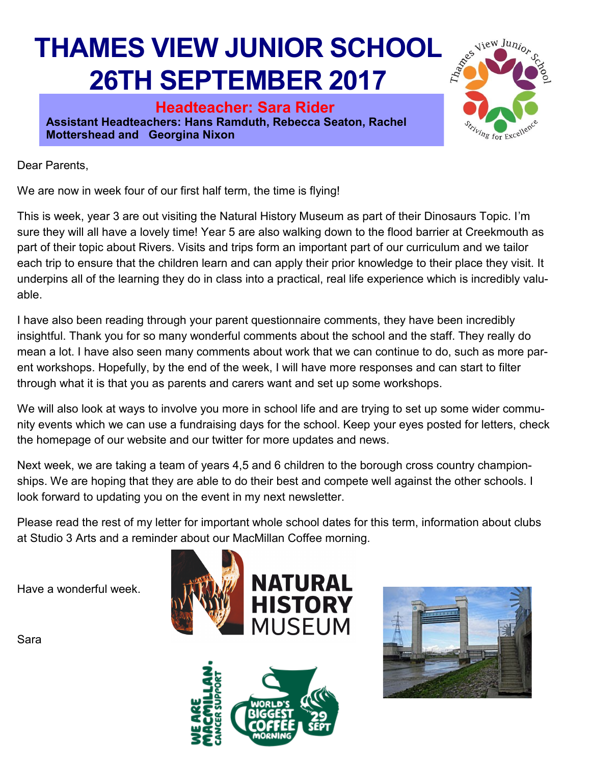## **THAMES VIEW JUNIOR SCHOOL 26TH SEPTEMBER 2017**

**Headteacher: Sara Rider Assistant Headteachers: Hans Ramduth, Rebecca Seaton, Rachel Mottershead and Georgina Nixon** 



Dear Parents,

We are now in week four of our first half term, the time is flying!

This is week, year 3 are out visiting the Natural History Museum as part of their Dinosaurs Topic. I'm sure they will all have a lovely time! Year 5 are also walking down to the flood barrier at Creekmouth as part of their topic about Rivers. Visits and trips form an important part of our curriculum and we tailor each trip to ensure that the children learn and can apply their prior knowledge to their place they visit. It underpins all of the learning they do in class into a practical, real life experience which is incredibly valuable.

I have also been reading through your parent questionnaire comments, they have been incredibly insightful. Thank you for so many wonderful comments about the school and the staff. They really do mean a lot. I have also seen many comments about work that we can continue to do, such as more parent workshops. Hopefully, by the end of the week, I will have more responses and can start to filter through what it is that you as parents and carers want and set up some workshops.

We will also look at ways to involve you more in school life and are trying to set up some wider community events which we can use a fundraising days for the school. Keep your eyes posted for letters, check the homepage of our website and our twitter for more updates and news.

Next week, we are taking a team of years 4,5 and 6 children to the borough cross country championships. We are hoping that they are able to do their best and compete well against the other schools. I look forward to updating you on the event in my next newsletter.

Please read the rest of my letter for important whole school dates for this term, information about clubs at Studio 3 Arts and a reminder about our MacMillan Coffee morning.

Have a wonderful week.

Sara





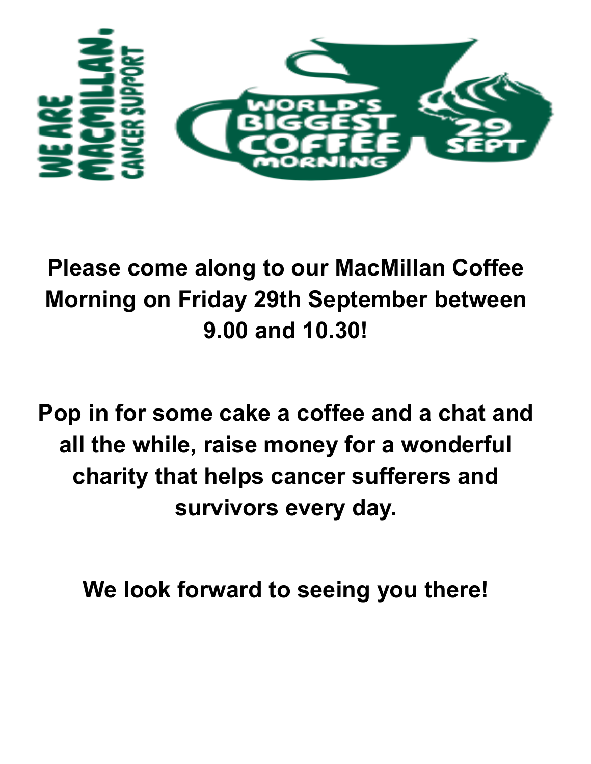

## **Please come along to our MacMillan Coffee Morning on Friday 29th September between 9.00 and 10.30!**

**Pop in for some cake a coffee and a chat and all the while, raise money for a wonderful charity that helps cancer sufferers and survivors every day.** 

**We look forward to seeing you there!**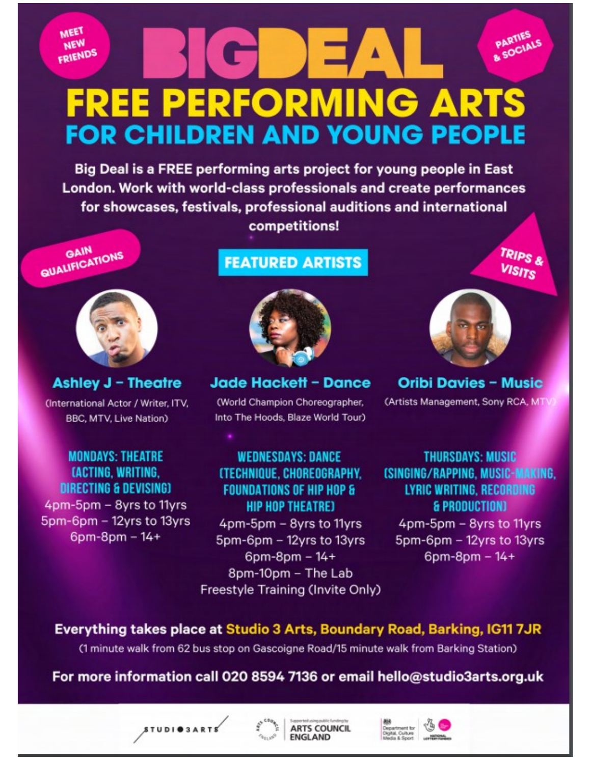**MEET NEW** FRIENDS

> **FREE PERFORMING ARTS FOR CHILDREN AND YOUNG PEOPLE**

Big Deal is a FREE performing arts project for young people in East London. Work with world-class professionals and create performances for showcases, festivals, professional auditions and international competitions!

**QUALIFICATIONS** GAIN



**Ashley J - Theatre** (International Actor / Writer, ITV, **BBC, MTV, Live Nation)** 

**MONDAYS: THEATRE** *LACTING, WRITING.* **DIRECTING & DEVISING)** 4pm-5pm - 8yrs to 11yrs 5pm-6pm - 12yrs to 13yrs  $6$ pm-8pm  $-14+$ 

STUDIOSARTS

## **FEATURED ARTISTS**



Jade Hackett - Dance

(World Champion Choreographer, Into The Hoods, Blaze World Tour)

**WEDNESDAYS: DANCE (TECHNIQUE, CHOREOGRAPHY, FOUNDATIONS OF HIP HOP & HIP HOP THEATRE)** 

4pm-5pm - 8yrs to 11yrs 5pm-6pm - 12yrs to 13yrs  $6pm-8pm - 14+$ 8pm-10pm - The Lab Freestyle Training (Invite Only)

PARTIES & SOCIALS

TRIPS &

**VISITS** 

**Oribi Davies - Music** (Artists Management, Sony RCA, MTV

**THURSDAYS: MUSIC (SINGING/RAPPING, MUSIC-MAKING, LYRIC WRITING, RECORDING** & PRODUCTION) 4pm-5pm - 8yrs to 11yrs

5pm-6pm - 12yrs to 13yrs 6pm-8pm - 14+

Everything takes place at Studio 3 Arts, Boundary Road, Barking, IG11 7JR

(1 minute walk from 62 bus stop on Gascoigne Road/15 minute walk from Barking Station)

For more information call 020 8594 7136 or email hello@studio3arts.org.uk